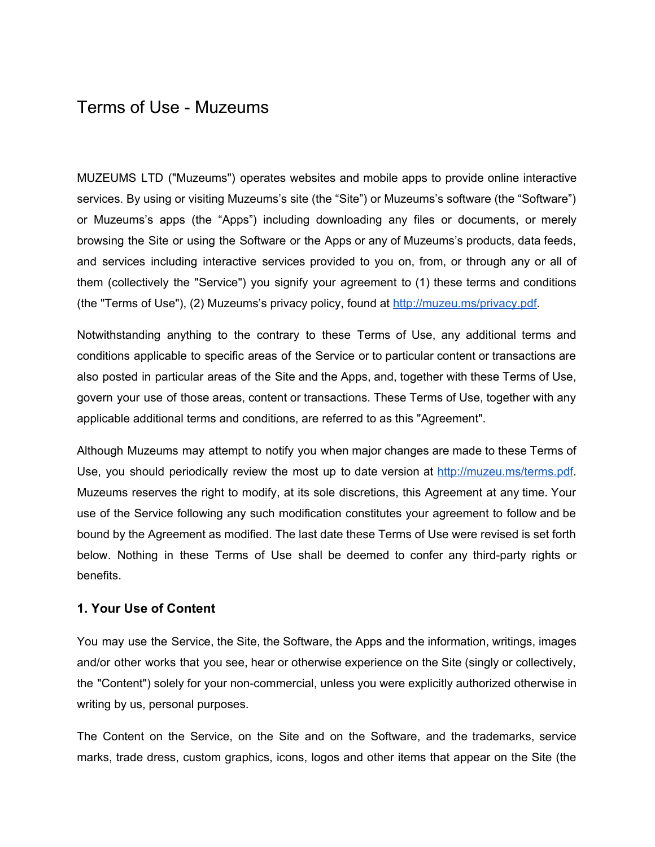# Terms of Use - Muzeums

MUZEUMS LTD ("Muzeums") operates websites and mobile apps to provide online interactive services. By using or visiting Muzeums's site (the "Site") or Muzeums's software (the "Software") or Muzeums's apps (the "Apps") including downloading any files or documents, or merely browsing the Site or using the Software or the Apps or any of Muzeums's products, data feeds, and services including interactive services provided to you on, from, or through any or all of them (collectively the "Service") you signify your agreement to (1) these terms and conditions (the "Terms of Use"), (2) Muzeums's privacy policy, found at [http://muzeu.ms/privacy.pdf.](http://muzeu.ms/privacy.pdf)

Notwithstanding anything to the contrary to these Terms of Use, any additional terms and conditions applicable to specific areas of the Service or to particular content or transactions are also posted in particular areas of the Site and the Apps, and, together with these Terms of Use, govern your use of those areas, content or transactions. These Terms of Use, together with any applicable additional terms and conditions, are referred to as this "Agreement".

Although Muzeums may attempt to notify you when major changes are made to these Terms of Use, you should periodically review the most up to date version at <http://muzeu.ms/terms.pdf>. Muzeums reserves the right to modify, at its sole discretions, this Agreement at any time. Your use of the Service following any such modification constitutes your agreement to follow and be bound by the Agreement as modified. The last date these Terms of Use were revised is set forth below. Nothing in these Terms of Use shall be deemed to confer any third-party rights or benefits.

#### **1. Your Use of Content**

You may use the Service, the Site, the Software, the Apps and the information, writings, images and/or other works that you see, hear or otherwise experience on the Site (singly or collectively, the "Content") solely for your noncommercial, unless you were explicitly authorized otherwise in writing by us, personal purposes.

The Content on the Service, on the Site and on the Software, and the trademarks, service marks, trade dress, custom graphics, icons, logos and other items that appear on the Site (the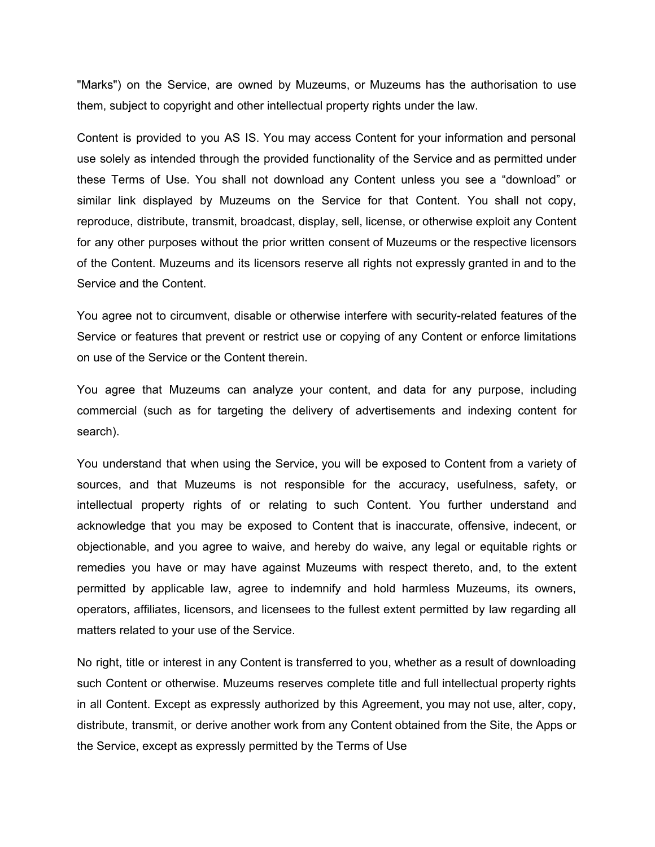"Marks") on the Service, are owned by Muzeums, or Muzeums has the authorisation to use them, subject to copyright and other intellectual property rights under the law.

Content is provided to you AS IS. You may access Content for your information and personal use solely as intended through the provided functionality of the Service and as permitted under these Terms of Use. You shall not download any Content unless you see a "download" or similar link displayed by Muzeums on the Service for that Content. You shall not copy, reproduce, distribute, transmit, broadcast, display, sell, license, or otherwise exploit any Content for any other purposes without the prior written consent of Muzeums or the respective licensors of the Content. Muzeums and its licensors reserve all rights not expressly granted in and to the Service and the Content.

You agree not to circumvent, disable or otherwise interfere with security-related features of the Service or features that prevent or restrict use or copying of any Content or enforce limitations on use of the Service or the Content therein.

You agree that Muzeums can analyze your content, and data for any purpose, including commercial (such as for targeting the delivery of advertisements and indexing content for search).

You understand that when using the Service, you will be exposed to Content from a variety of sources, and that Muzeums is not responsible for the accuracy, usefulness, safety, or intellectual property rights of or relating to such Content. You further understand and acknowledge that you may be exposed to Content that is inaccurate, offensive, indecent, or objectionable, and you agree to waive, and hereby do waive, any legal or equitable rights or remedies you have or may have against Muzeums with respect thereto, and, to the extent permitted by applicable law, agree to indemnify and hold harmless Muzeums, its owners, operators, affiliates, licensors, and licensees to the fullest extent permitted by law regarding all matters related to your use of the Service.

No right, title or interest in any Content is transferred to you, whether as a result of downloading such Content or otherwise. Muzeums reserves complete title and full intellectual property rights in all Content. Except as expressly authorized by this Agreement, you may not use, alter, copy, distribute, transmit, or derive another work from any Content obtained from the Site, the Apps or the Service, except as expressly permitted by the Terms of Use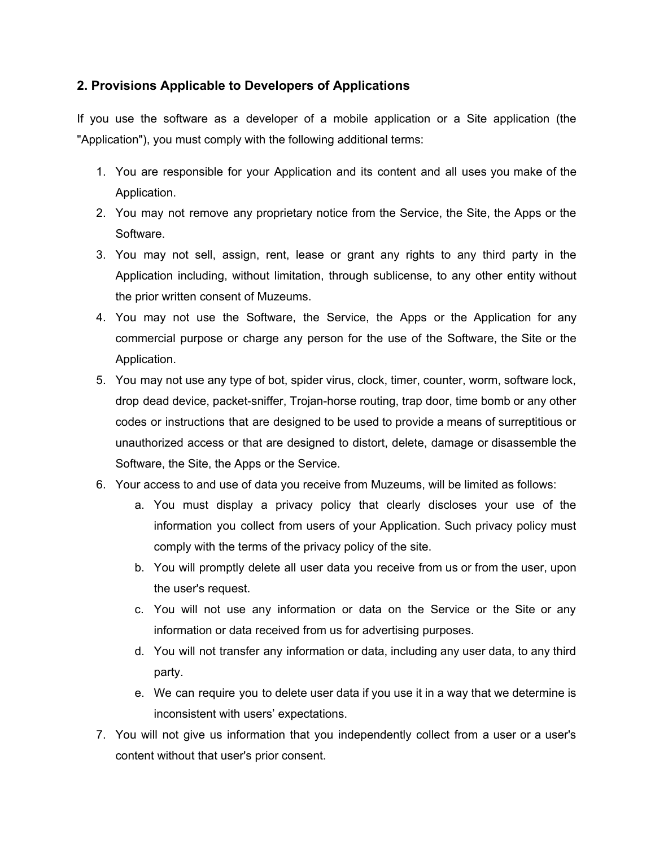# **2. Provisions Applicable to Developers of Applications**

If you use the software as a developer of a mobile application or a Site application (the "Application"), you must comply with the following additional terms:

- 1. You are responsible for your Application and its content and all uses you make of the Application.
- 2. You may not remove any proprietary notice from the Service, the Site, the Apps or the Software.
- 3. You may not sell, assign, rent, lease or grant any rights to any third party in the Application including, without limitation, through sublicense, to any other entity without the prior written consent of Muzeums.
- 4. You may not use the Software, the Service, the Apps or the Application for any commercial purpose or charge any person for the use of the Software, the Site or the Application.
- 5. You may not use any type of bot, spider virus, clock, timer, counter, worm, software lock, drop dead device, packet-sniffer, Trojan-horse routing, trap door, time bomb or any other codes or instructions that are designed to be used to provide a means of surreptitious or unauthorized access or that are designed to distort, delete, damage or disassemble the Software, the Site, the Apps or the Service.
- 6. Your access to and use of data you receive from Muzeums, will be limited as follows:
	- a. You must display a privacy policy that clearly discloses your use of the information you collect from users of your Application. Such privacy policy must comply with the terms of the privacy policy of the site.
	- b. You will promptly delete all user data you receive from us or from the user, upon the user's request.
	- c. You will not use any information or data on the Service or the Site or any information or data received from us for advertising purposes.
	- d. You will not transfer any information or data, including any user data, to any third party.
	- e. We can require you to delete user data if you use it in a way that we determine is inconsistent with users' expectations.
- 7. You will not give us information that you independently collect from a user or a user's content without that user's prior consent.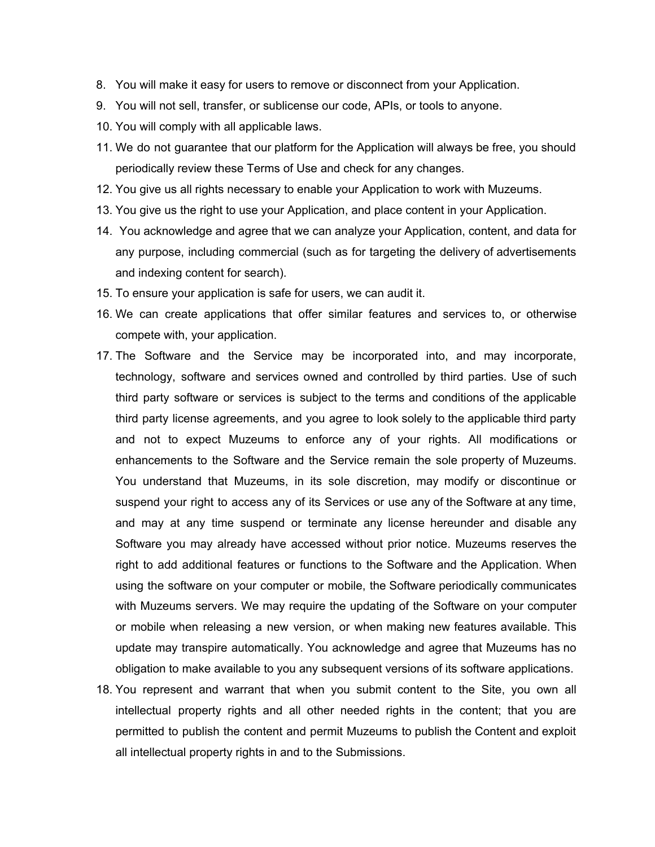- 8. You will make it easy for users to remove or disconnect from your Application.
- 9. You will not sell, transfer, or sublicense our code, APIs, or tools to anyone.
- 10. You will comply with all applicable laws.
- 11. We do not guarantee that our platform for the Application will always be free, you should periodically review these Terms of Use and check for any changes.
- 12. You give us all rights necessary to enable your Application to work with Muzeums.
- 13. You give us the right to use your Application, and place content in your Application.
- 14. You acknowledge and agree that we can analyze your Application, content, and data for any purpose, including commercial (such as for targeting the delivery of advertisements and indexing content for search).
- 15. To ensure your application is safe for users, we can audit it.
- 16. We can create applications that offer similar features and services to, or otherwise compete with, your application.
- 17. The Software and the Service may be incorporated into, and may incorporate, technology, software and services owned and controlled by third parties. Use of such third party software or services is subject to the terms and conditions of the applicable third party license agreements, and you agree to look solely to the applicable third party and not to expect Muzeums to enforce any of your rights. All modifications or enhancements to the Software and the Service remain the sole property of Muzeums. You understand that Muzeums, in its sole discretion, may modify or discontinue or suspend your right to access any of its Services or use any of the Software at any time, and may at any time suspend or terminate any license hereunder and disable any Software you may already have accessed without prior notice. Muzeums reserves the right to add additional features or functions to the Software and the Application. When using the software on your computer or mobile, the Software periodically communicates with Muzeums servers. We may require the updating of the Software on your computer or mobile when releasing a new version, or when making new features available. This update may transpire automatically. You acknowledge and agree that Muzeums has no obligation to make available to you any subsequent versions of its software applications.
- 18. You represent and warrant that when you submit content to the Site, you own all intellectual property rights and all other needed rights in the content; that you are permitted to publish the content and permit Muzeums to publish the Content and exploit all intellectual property rights in and to the Submissions.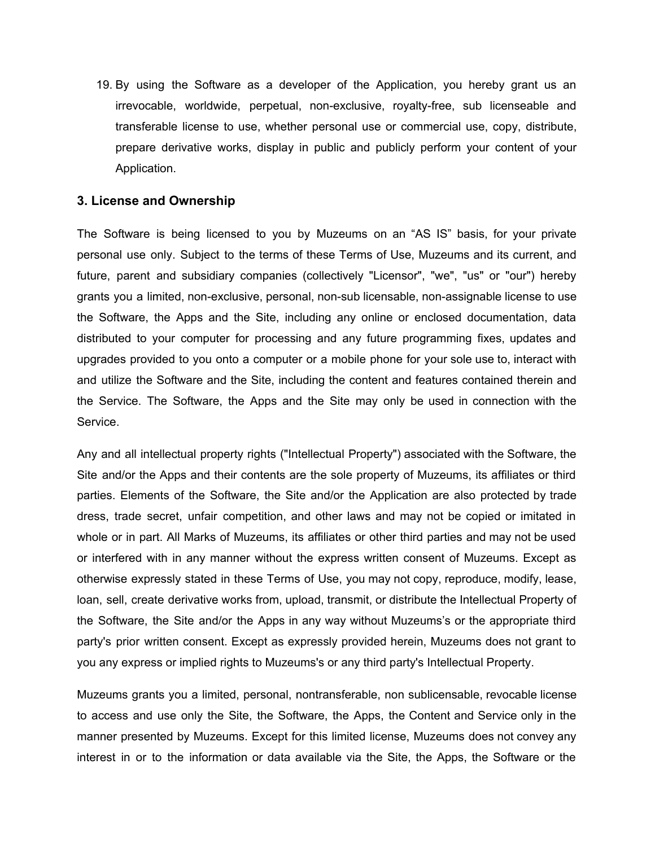19. By using the Software as a developer of the Application, you hereby grant us an irrevocable, worldwide, perpetual, non-exclusive, royalty-free, sub licenseable and transferable license to use, whether personal use or commercial use, copy, distribute, prepare derivative works, display in public and publicly perform your content of your Application.

#### **3. License and Ownership**

The Software is being licensed to you by Muzeums on an "AS IS" basis, for your private personal use only. Subject to the terms of these Terms of Use, Muzeums and its current, and future, parent and subsidiary companies (collectively "Licensor", "we", "us" or "our") hereby grants you a limited, non-exclusive, personal, non-sub licensable, non-assignable license to use the Software, the Apps and the Site, including any online or enclosed documentation, data distributed to your computer for processing and any future programming fixes, updates and upgrades provided to you onto a computer or a mobile phone for your sole use to, interact with and utilize the Software and the Site, including the content and features contained therein and the Service. The Software, the Apps and the Site may only be used in connection with the Service.

Any and all intellectual property rights ("Intellectual Property") associated with the Software, the Site and/or the Apps and their contents are the sole property of Muzeums, its affiliates or third parties. Elements of the Software, the Site and/or the Application are also protected by trade dress, trade secret, unfair competition, and other laws and may not be copied or imitated in whole or in part. All Marks of Muzeums, its affiliates or other third parties and may not be used or interfered with in any manner without the express written consent of Muzeums. Except as otherwise expressly stated in these Terms of Use, you may not copy, reproduce, modify, lease, loan, sell, create derivative works from, upload, transmit, or distribute the Intellectual Property of the Software, the Site and/or the Apps in any way without Muzeums's or the appropriate third party's prior written consent. Except as expressly provided herein, Muzeums does not grant to you any express or implied rights to Muzeums's or any third party's Intellectual Property.

Muzeums grants you a limited, personal, nontransferable, non sublicensable, revocable license to access and use only the Site, the Software, the Apps, the Content and Service only in the manner presented by Muzeums. Except for this limited license, Muzeums does not convey any interest in or to the information or data available via the Site, the Apps, the Software or the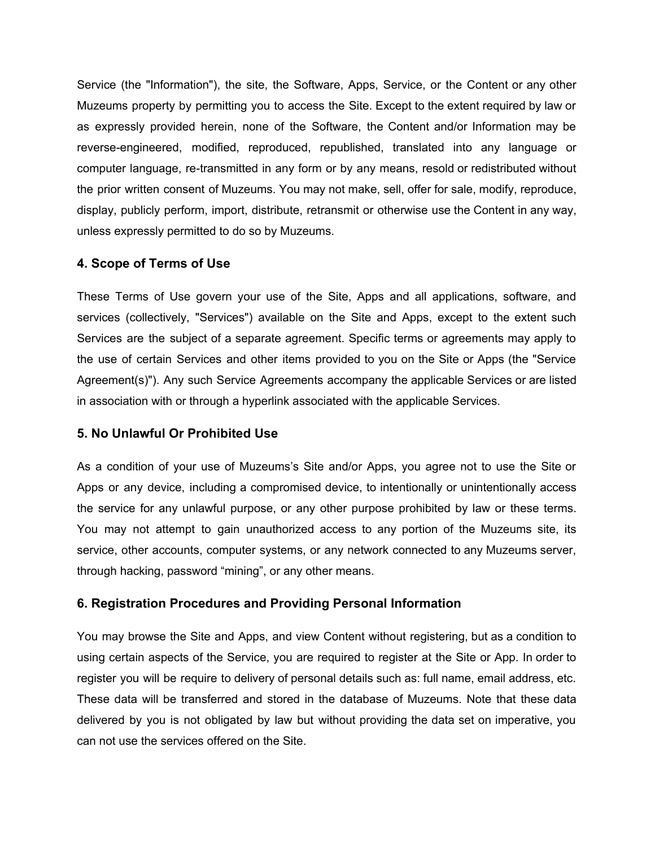Service (the "Information"), the site, the Software, Apps, Service, or the Content or any other Muzeums property by permitting you to access the Site. Except to the extent required by law or as expressly provided herein, none of the Software, the Content and/or Information may be reverse-engineered, modified, reproduced, republished, translated into any language or computer language, re-transmitted in any form or by any means, resold or redistributed without the prior written consent of Muzeums. You may not make, sell, offer for sale, modify, reproduce, display, publicly perform, import, distribute, retransmit or otherwise use the Content in any way, unless expressly permitted to do so by Muzeums.

#### **4. Scope of Terms of Use**

These Terms of Use govern your use of the Site, Apps and all applications, software, and services (collectively, "Services") available on the Site and Apps, except to the extent such Services are the subject of a separate agreement. Specific terms or agreements may apply to the use of certain Services and other items provided to you on the Site or Apps (the "Service Agreement(s)"). Any such Service Agreements accompany the applicable Services or are listed in association with or through a hyperlink associated with the applicable Services.

#### **5. No Unlawful Or Prohibited Use**

As a condition of your use of Muzeums's Site and/or Apps, you agree not to use the Site or Apps or any device, including a compromised device, to intentionally or unintentionally access the service for any unlawful purpose, or any other purpose prohibited by law or these terms. You may not attempt to gain unauthorized access to any portion of the Muzeums site, its service, other accounts, computer systems, or any network connected to any Muzeums server, through hacking, password "mining", or any other means.

# **6. Registration Procedures and Providing Personal Information**

You may browse the Site and Apps, and view Content without registering, but as a condition to using certain aspects of the Service, you are required to register at the Site or App. In order to register you will be require to delivery of personal details such as: full name, email address, etc. These data will be transferred and stored in the database of Muzeums. Note that these data delivered by you is not obligated by law but without providing the data set on imperative, you can not use the services offered on the Site.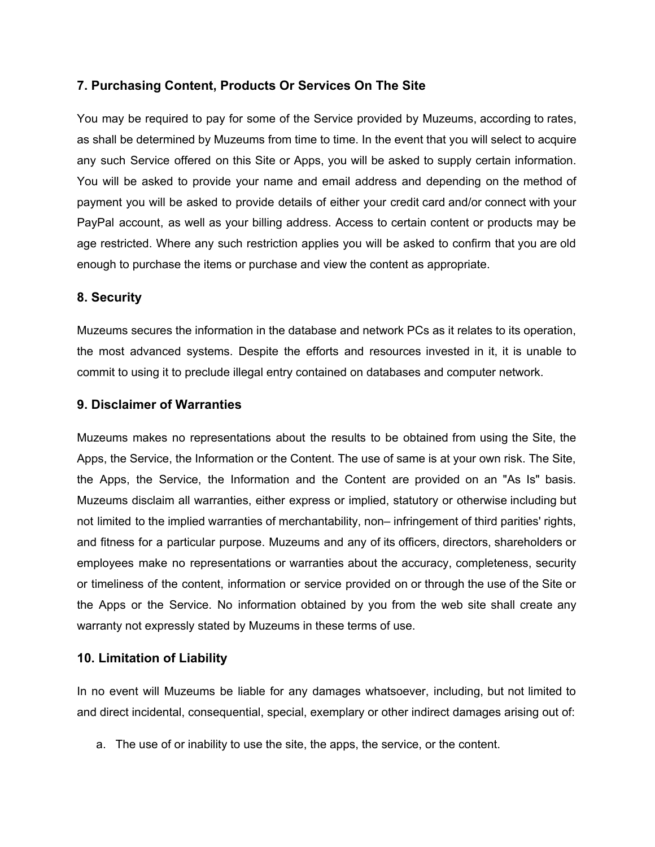# **7. Purchasing Content, Products Or Services On The Site**

You may be required to pay for some of the Service provided by Muzeums, according to rates, as shall be determined by Muzeums from time to time. In the event that you will select to acquire any such Service offered on this Site or Apps, you will be asked to supply certain information. You will be asked to provide your name and email address and depending on the method of payment you will be asked to provide details of either your credit card and/or connect with your PayPal account, as well as your billing address. Access to certain content or products may be age restricted. Where any such restriction applies you will be asked to confirm that you are old enough to purchase the items or purchase and view the content as appropriate.

# **8. Security**

Muzeums secures the information in the database and network PCs as it relates to its operation, the most advanced systems. Despite the efforts and resources invested in it, it is unable to commit to using it to preclude illegal entry contained on databases and computer network.

#### **9. Disclaimer of Warranties**

Muzeums makes no representations about the results to be obtained from using the Site, the Apps, the Service, the Information or the Content. The use of same is at your own risk. The Site, the Apps, the Service, the Information and the Content are provided on an "As Is" basis. Muzeums disclaim all warranties, either express or implied, statutory or otherwise including but not limited to the implied warranties of merchantability, non– infringement of third parities' rights, and fitness for a particular purpose. Muzeums and any of its officers, directors, shareholders or employees make no representations or warranties about the accuracy, completeness, security or timeliness of the content, information or service provided on or through the use of the Site or the Apps or the Service. No information obtained by you from the web site shall create any warranty not expressly stated by Muzeums in these terms of use.

# **10. Limitation of Liability**

In no event will Muzeums be liable for any damages whatsoever, including, but not limited to and direct incidental, consequential, special, exemplary or other indirect damages arising out of:

a. The use of or inability to use the site, the apps, the service, or the content.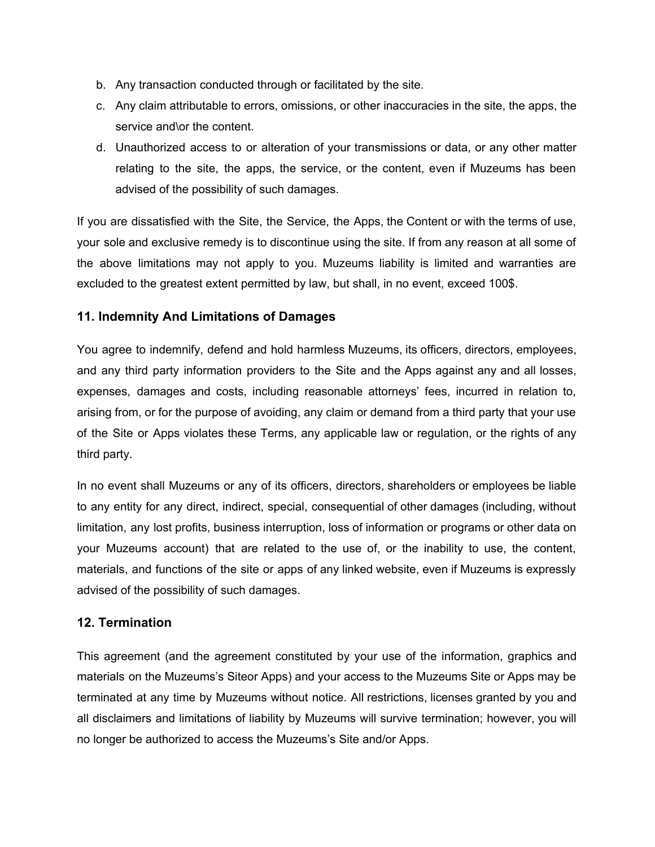- b. Any transaction conducted through or facilitated by the site.
- c. Any claim attributable to errors, omissions, or other inaccuracies in the site, the apps, the service and\or the content.
- d. Unauthorized access to or alteration of your transmissions or data, or any other matter relating to the site, the apps, the service, or the content, even if Muzeums has been advised of the possibility of such damages.

If you are dissatisfied with the Site, the Service, the Apps, the Content or with the terms of use, your sole and exclusive remedy is to discontinue using the site. If from any reason at all some of the above limitations may not apply to you. Muzeums liability is limited and warranties are excluded to the greatest extent permitted by law, but shall, in no event, exceed 100\$.

# **11. Indemnity And Limitations of Damages**

You agree to indemnify, defend and hold harmless Muzeums, its officers, directors, employees, and any third party information providers to the Site and the Apps against any and all losses, expenses, damages and costs, including reasonable attorneys' fees, incurred in relation to, arising from, or for the purpose of avoiding, any claim or demand from a third party that your use of the Site or Apps violates these Terms, any applicable law or regulation, or the rights of any third party.

In no event shall Muzeums or any of its officers, directors, shareholders or employees be liable to any entity for any direct, indirect, special, consequential of other damages (including, without limitation, any lost profits, business interruption, loss of information or programs or other data on your Muzeums account) that are related to the use of, or the inability to use, the content, materials, and functions of the site or apps of any linked website, even if Muzeums is expressly advised of the possibility of such damages.

# **12. Termination**

This agreement (and the agreement constituted by your use of the information, graphics and materials on the Muzeums's Siteor Apps) and your access to the Muzeums Site or Apps may be terminated at any time by Muzeums without notice. All restrictions, licenses granted by you and all disclaimers and limitations of liability by Muzeums will survive termination; however, you will no longer be authorized to access the Muzeums's Site and/or Apps.